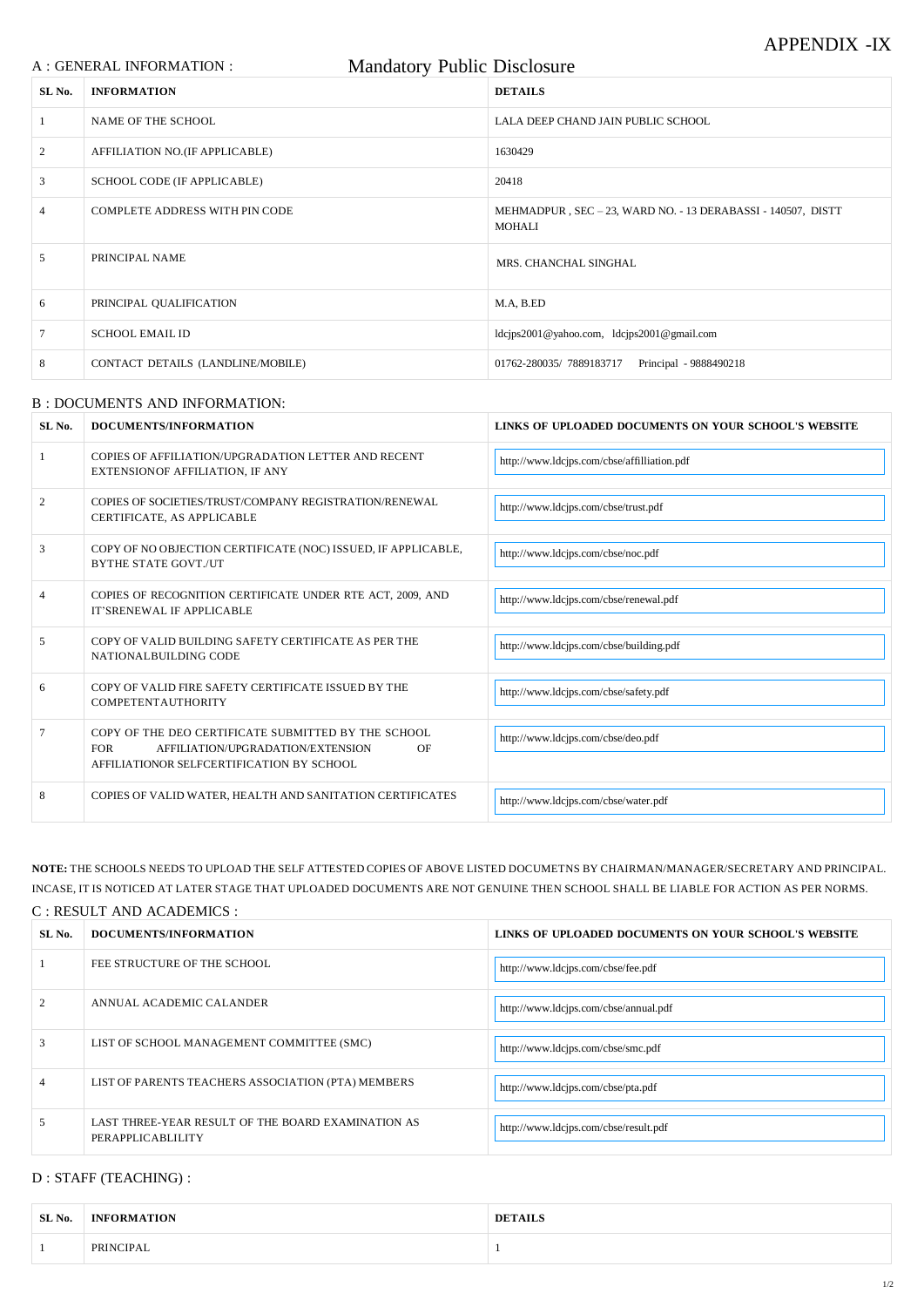# APPENDIX -IX

|                | <b>Mandatory Public Disclosure</b><br>A : GENERAL INFORMATION : |                |                                                              |
|----------------|-----------------------------------------------------------------|----------------|--------------------------------------------------------------|
| SL No.         | <b>INFORMATION</b>                                              | <b>DETAILS</b> |                                                              |
| $\mathbf{1}$   | NAME OF THE SCHOOL                                              |                | LALA DEEP CHAND JAIN PUBLIC SCHOOL                           |
| 2              | AFFILIATION NO.(IF APPLICABLE)                                  | 1630429        |                                                              |
| $\mathfrak{Z}$ | SCHOOL CODE (IF APPLICABLE)                                     | 20418          |                                                              |
| $\overline{4}$ | <b>COMPLETE ADDRESS WITH PIN CODE</b>                           | <b>MOHALI</b>  | MEHMADPUR, SEC - 23, WARD NO. - 13 DERABASSI - 140507, DISTT |
| 5              | PRINCIPAL NAME                                                  |                | MRS. CHANCHAL SINGHAL                                        |
| 6              | PRINCIPAL QUALIFICATION                                         | M.A, B.ED      |                                                              |
| $\tau$         | <b>SCHOOL EMAIL ID</b>                                          |                | ldcjps2001@yahoo.com, ldcjps2001@gmail.com                   |
| 8              | CONTACT DETAILS (LANDLINE/MOBILE)                               |                | 01762-280035/7889183717<br>Principal - 9888490218            |

#### B : DOCUMENTS AND INFORMATION:

| SL No. | DOCUMENTS/INFORMATION                                                                                                                                     | LINKS OF UPLOADED DOCUMENTS ON YOUR SCHOOL'S WEBSITE |
|--------|-----------------------------------------------------------------------------------------------------------------------------------------------------------|------------------------------------------------------|
|        | COPIES OF AFFILIATION/UPGRADATION LETTER AND RECENT<br>EXTENSIONOF AFFILIATION, IF ANY                                                                    | http://www.ldcjps.com/cbse/affilliation.pdf          |
| 2      | COPIES OF SOCIETIES/TRUST/COMPANY REGISTRATION/RENEWAL<br>CERTIFICATE, AS APPLICABLE                                                                      | http://www.ldcjps.com/cbse/trust.pdf                 |
| 3      | COPY OF NO OBJECTION CERTIFICATE (NOC) ISSUED, IF APPLICABLE,<br><b>BYTHE STATE GOVT./UT</b>                                                              | http://www.ldcjps.com/cbse/noc.pdf                   |
| 4      | COPIES OF RECOGNITION CERTIFICATE UNDER RTE ACT, 2009, AND<br><b>IT'SRENEWAL IF APPLICABLE</b>                                                            | http://www.ldcjps.com/cbse/renewal.pdf               |
| 5      | COPY OF VALID BUILDING SAFETY CERTIFICATE AS PER THE<br>NATIONAL BUILDING CODE                                                                            | http://www.ldcjps.com/cbse/building.pdf              |
| 6      | COPY OF VALID FIRE SAFETY CERTIFICATE ISSUED BY THE<br><b>COMPETENTAUTHORITY</b>                                                                          | http://www.ldcjps.com/cbse/safety.pdf                |
| 7      | COPY OF THE DEO CERTIFICATE SUBMITTED BY THE SCHOOL<br><b>FOR</b><br>AFFILIATION/UPGRADATION/EXTENSION<br>OF<br>AFFILIATIONOR SELFCERTIFICATION BY SCHOOL | http://www.ldcjps.com/cbse/deo.pdf                   |
| 8      | COPIES OF VALID WATER, HEALTH AND SANITATION CERTIFICATES                                                                                                 | http://www.ldcjps.com/cbse/water.pdf                 |

| 2              | ANNUAL ACADEMIC CALANDER                                                | http://www.ldcjps.com/cbse/annual.pdf |
|----------------|-------------------------------------------------------------------------|---------------------------------------|
| 3              | LIST OF SCHOOL MANAGEMENT COMMITTEE (SMC)                               | http://www.ldcjps.com/cbse/smc.pdf    |
| $\overline{4}$ | LIST OF PARENTS TEACHERS ASSOCIATION (PTA) MEMBERS                      | http://www.ldcjps.com/cbse/pta.pdf    |
| $\mathcal{D}$  | LAST THREE-YEAR RESULT OF THE BOARD EXAMINATION AS<br>PERAPPLICABLILITY | http://www.ldcjps.com/cbse/result.pdf |

### **NOTE:** THE SCHOOLS NEEDS TO UPLOAD THE SELF ATTESTED COPIES OF ABOVE LISTED DOCUMETNS BY CHAIRMAN/MANAGER/SECRETARY AND PRINCIPAL. INCASE, IT IS NOTICED AT LATER STAGE THAT UPLOADED DOCUMENTS ARE NOT GENUINE THEN SCHOOL SHALL BE LIABLE FOR ACTION AS PER NORMS. C : RESULT AND ACADEMICS :

| SL No. | DOCUMENTS/INFORMATION       | LINKS OF UPLOADED DOCUMENTS ON YOUR SCHOOL'S WEBSITE |
|--------|-----------------------------|------------------------------------------------------|
|        | FEE STRUCTURE OF THE SCHOOL | http://www.ldcjps.com/cbse/fee.pdf                   |

D : STAFF (TEACHING) :

| SL No. | <b>INFORMATION</b> | <b>DETAILS</b> |
|--------|--------------------|----------------|
|        | PRINCIPAL          |                |